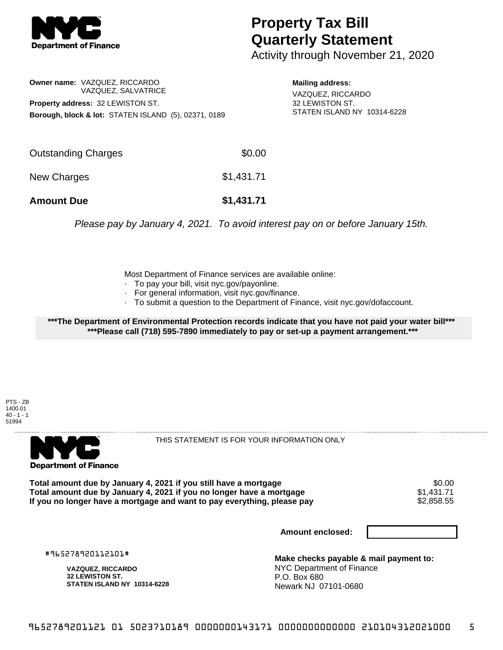

## **Property Tax Bill Quarterly Statement**

Activity through November 21, 2020

**Owner name:** VAZQUEZ, RICCARDO VAZQUEZ, SALVATRICE **Property address:** 32 LEWISTON ST. **Borough, block & lot:** STATEN ISLAND (5), 02371, 0189

**Mailing address:** VAZQUEZ, RICCARDO 32 LEWISTON ST. STATEN ISLAND NY 10314-6228

| <b>Amount Due</b>   | \$1,431.71 |
|---------------------|------------|
| New Charges         | \$1,431.71 |
| Outstanding Charges | \$0.00     |

Please pay by January 4, 2021. To avoid interest pay on or before January 15th.

Most Department of Finance services are available online:

- · To pay your bill, visit nyc.gov/payonline.
- For general information, visit nyc.gov/finance.
- · To submit a question to the Department of Finance, visit nyc.gov/dofaccount.

**\*\*\*The Department of Environmental Protection records indicate that you have not paid your water bill\*\*\* \*\*\*Please call (718) 595-7890 immediately to pay or set-up a payment arrangement.\*\*\***

PTS - ZB 1400.01  $40 - 1 - 1$ 51994



THIS STATEMENT IS FOR YOUR INFORMATION ONLY

Total amount due by January 4, 2021 if you still have a mortgage \$0.00<br>Total amount due by January 4, 2021 if you no longer have a mortgage \$1.431.71 **Total amount due by January 4, 2021 if you no longer have a mortgage**  $$1,431.71$ **<br>If you no longer have a mortgage and want to pay everything, please pay <b>show that the summan set of the set of** If you no longer have a mortgage and want to pay everything, please pay

**Amount enclosed:**

#965278920112101#

**VAZQUEZ, RICCARDO 32 LEWISTON ST. STATEN ISLAND NY 10314-6228**

**Make checks payable & mail payment to:** NYC Department of Finance P.O. Box 680 Newark NJ 07101-0680